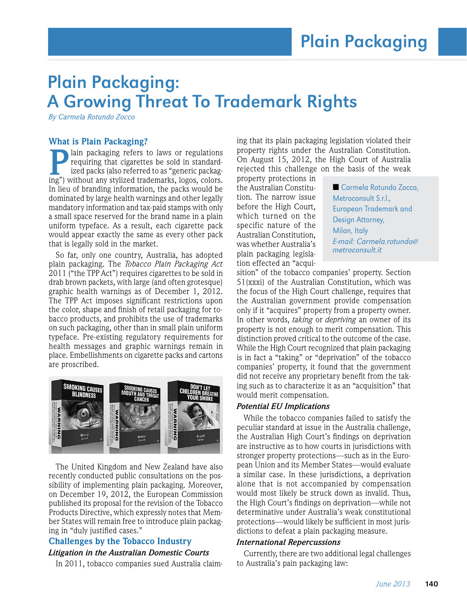# Plain Packaging: A Growing Threat To Trademark Rights

*By Carmela Rotundo Zocco*

#### **What is Plain Packaging?**

lain packaging refers to laws or regulations requiring that cigarettes be sold in standardized packs (also referred to as "generic packag-**P** lain packaging refers to laws or regulations requiring that cigarettes be sold in standardized packs (also referred to as "generic packaging") without any stylized trademarks, logos, colors. In lieu of branding information, the packs would be dominated by large health warnings and other legally mandatory information and tax-paid stamps with only a small space reserved for the brand name in a plain uniform typeface. As a result, each cigarette pack would appear exactly the same as every other pack that is legally sold in the market.

So far, only one country, Australia, has adopted plain packaging. The *Tobacco Plain Packaging Act*  2011 ("the TPP Act") requires cigarettes to be sold in drab brown packets, with large (and often grotesque) graphic health warnings as of December 1, 2012. The TPP Act imposes significant restrictions upon the color, shape and finish of retail packaging for tobacco products, and prohibits the use of trademarks on such packaging, other than in small plain uniform typeface. Pre-existing regulatory requirements for health messages and graphic warnings remain in place. Embellishments on cigarette packs and cartons are proscribed.



The United Kingdom and New Zealand have also recently conducted public consultations on the possibility of implementing plain packaging. Moreover, on December 19, 2012, the European Commission published its proposal for the revision of the Tobacco Products Directive, which expressly notes that Member States will remain free to introduce plain packaging in "duly justified cases."

## **Challenges by the Tobacco Industry**

#### *Litigation in the Australian Domestic Courts*

In 2011, tobacco companies sued Australia claim-

ing that its plain packaging legislation violated their property rights under the Australian Constitution. On August 15, 2012, the High Court of Australia rejected this challenge on the basis of the weak

property protections in the Australian Constitution. The narrow issue before the High Court, which turned on the specific nature of the Australian Constitution, was whether Australia's plain packaging legislation effected an "acqui-

■ Carmela Rotundo Zocco, Metroconsult S.r.l., European Trademark and Design Attorney, Milan, Italy E-mail: Carmela.rotundo@ metroconsult.it

sition" of the tobacco companies' property. Section 51(xxxi) of the Australian Constitution, which was the focus of the High Court challenge, requires that the Australian government provide compensation only if it "acquires" property from a property owner. In other words, *taking* or *depriving* an owner of its property is not enough to merit compensation. This distinction proved critical to the outcome of the case. While the High Court recognized that plain packaging is in fact a "taking" or "deprivation" of the tobacco companies' property, it found that the government did not receive any proprietary benefit from the taking such as to characterize it as an "acquisition" that would merit compensation.

#### *Potential EU Implications*

While the tobacco companies failed to satisfy the peculiar standard at issue in the Australia challenge, the Australian High Court's findings on deprivation are instructive as to how courts in jurisdictions with stronger property protections—such as in the European Union and its Member States—would evaluate a similar case. In these jurisdictions, a deprivation alone that is not accompanied by compensation would most likely be struck down as invalid. Thus, the High Court's findings on deprivation—while not determinative under Australia's weak constitutional protections—would likely be sufficient in most jurisdictions to defeat a plain packaging measure.

#### *International Repercussions*

Currently, there are two additional legal challenges to Australia's pain packaging law: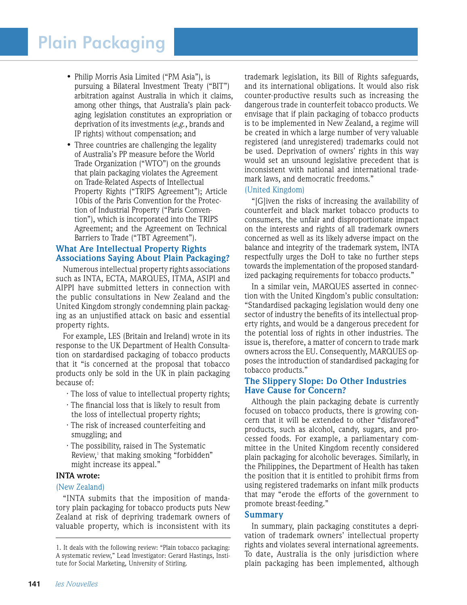# Plain Packaging

- Philip Morris Asia Limited ("PM Asia"), is pursuing a Bilateral Investment Treaty ("BIT") arbitration against Australia in which it claims, among other things, that Australia's plain pack aging legislation constitutes an expropriation or deprivation of its investments (*e.g.*, brands and IP rights) without compensation; and
- Three countries are challenging the legality of Australia's PP measure before the World Trade Organization ("WTO") on the grounds that plain packaging violates the Agreement on Trade-Related Aspects of Intellectual Property Rights ("TRIPS Agreement"); Article 10bis of the Paris Convention for the Protec tion of Industrial Property ("Paris Conven tion"), which is incorporated into the TRIPS Agreement; and the Agreement on Technical Barriers to Trade ("TBT Agreement").

### **What Are Intellectual Property Rights Associations Saying About Plain Packaging?**

Numerous intellectual property rights associations such as INTA, ECTA, MARQUES, ITMA, ASIPI and AIPPI have submitted letters in connection with the public consultations in New Zealand and the United Kingdom strongly condemning plain packaging as an unjustified attack on basic and essential property rights.

For example, LES (Britain and Ireland) wrote in its response to the UK Department of Health Consultation on stardardised packaging of tobacco products that it "is concerned at the proposal that tobacco products only be sold in the UK in plain packaging because of:

- · The loss of value to intellectual property rights;
- · The financial loss that is likely to result from the loss of intellectual property rights;
- · The risk of increased counterfeiting and smuggling; and
- · The possibility, raised in The Systematic Review,<sup>1</sup> that making smoking "forbidden" might increase its appeal."

#### **INTA wrote:**

#### (New Zealand)

"INTA submits that the imposition of mandatory plain packaging for tobacco products puts New Zealand at risk of depriving trademark owners of valuable property, which is inconsistent with its

trademark legislation, its Bill of Rights safeguards, and its international obligations. It would also risk counter-productive results such as increasing the dangerous trade in counterfeit tobacco products. We envisage that if plain packaging of tobacco products is to be implemented in New Zealand, a regime will be created in which a large number of very valuable registered (and unregistered) trademarks could not be used. Deprivation of owners' rights in this way would set an unsound legislative precedent that is inconsistent with national and international trademark laws, and democratic freedoms."

#### (United Kingdom)

"[G]iven the risks of increasing the availability of counterfeit and black market tobacco products to consumers, the unfair and disproportionate impact on the interests and rights of all trademark owners concerned as well as its likely adverse impact on the balance and integrity of the trademark system, INTA respectfully urges the DoH to take no further steps towards the implementation of the proposed standardized packaging requirements for tobacco products."

In a similar vein, MARQUES asserted in connection with the United Kingdom's public consultation: "Standardised packaging legislation would deny one sector of industry the benefits of its intellectual property rights, and would be a dangerous precedent for the potential loss of rights in other industries. The issue is, therefore, a matter of concern to trade mark owners across the EU. Consequently, MARQUES opposes the introduction of standardised packaging for tobacco products."

### **The Slippery Slope: Do Other Industries Have Cause for Concern?**

Although the plain packaging debate is currently focused on tobacco products, there is growing concern that it will be extended to other "disfavored" products, such as alcohol, candy, sugars, and processed foods. For example, a parliamentary committee in the United Kingdom recently considered plain packaging for alcoholic beverages. Similarly, in the Philippines, the Department of Health has taken the position that it is entitled to prohibit firms from using registered trademarks on infant milk products that may "erode the efforts of the government to promote breast-feeding."

#### **Summary**

In summary, plain packaging constitutes a deprivation of trademark owners' intellectual property rights and violates several international agreements. To date, Australia is the only jurisdiction where plain packaging has been implemented, although

<sup>1.</sup> It deals with the following review: "Plain tobacco packaging: A systematic review," Lead Investigator: Gerard Hastings, Institute for Social Marketing, University of Stirling.